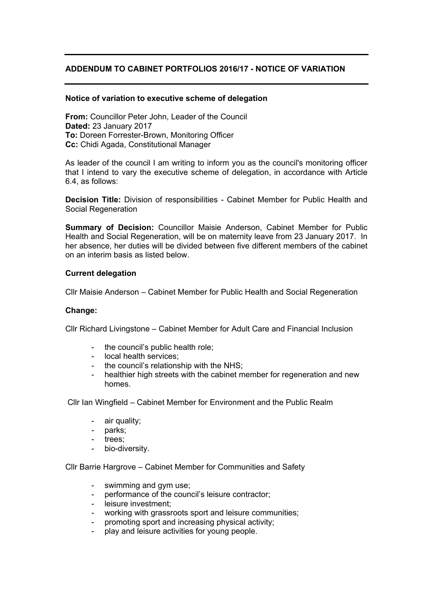## **ADDENDUM TO CABINET PORTFOLIOS 2016/17 - NOTICE OF VARIATION**

## **Notice of variation to executive scheme of delegation**

**From:** Councillor Peter John, Leader of the Council **Dated:** 23 January 2017 **To:** Doreen Forrester-Brown, Monitoring Officer **Cc:** Chidi Agada, Constitutional Manager

As leader of the council I am writing to inform you as the council's monitoring officer that I intend to vary the executive scheme of delegation, in accordance with Article 6.4, as follows:

**Decision Title:** Division of responsibilities - Cabinet Member for Public Health and Social Regeneration

**Summary of Decision:** Councillor Maisie Anderson, Cabinet Member for Public Health and Social Regeneration, will be on maternity leave from 23 January 2017. In her absence, her duties will be divided between five different members of the cabinet on an interim basis as listed below.

## **Current delegation**

Cllr Maisie Anderson – Cabinet Member for Public Health and Social Regeneration

## **Change:**

Cllr Richard Livingstone – Cabinet Member for Adult Care and Financial Inclusion

- the council's public health role:
- local health services;
- the council's relationship with the NHS;
- healthier high streets with the cabinet member for regeneration and new homes.

Cllr Ian Wingfield – Cabinet Member for Environment and the Public Realm

- air quality;
- parks;
- trees:
- bio-diversity.

Cllr Barrie Hargrove – Cabinet Member for Communities and Safety

- swimming and gym use;
- performance of the council's leisure contractor;
- leisure investment:
- working with grassroots sport and leisure communities;
- promoting sport and increasing physical activity;
- play and leisure activities for young people.